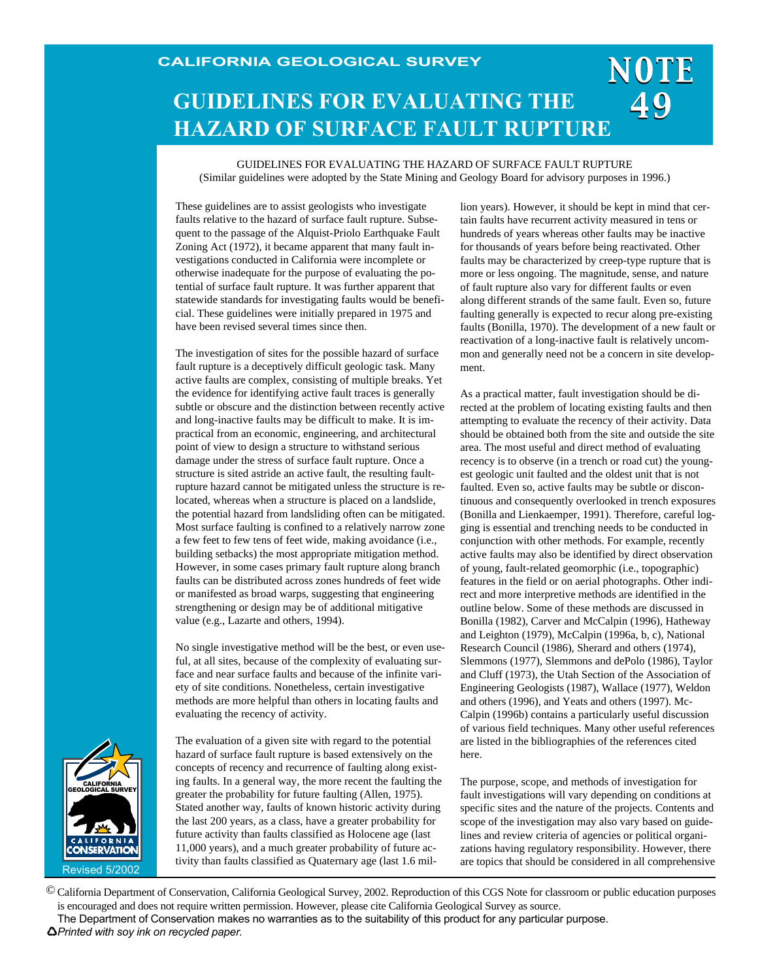# NOTE **GUIDELINES FOR EVALUATING THE HAZARD OF SURFACE FAULT RUPTURE**

GUIDELINES FOR EVALUATING THE HAZARD OF SURFACE FAULT RUPTURE (Similar guidelines were adopted by the State Mining and Geology Board for advisory purposes in 1996.)

These guidelines are to assist geologists who investigate faults relative to the hazard of surface fault rupture. Subsequent to the passage of the Alquist-Priolo Earthquake Fault Zoning Act (1972), it became apparent that many fault investigations conducted in California were incomplete or otherwise inadequate for the purpose of evaluating the potential of surface fault rupture. It was further apparent that statewide standards for investigating faults would be beneficial. These guidelines were initially prepared in 1975 and have been revised several times since then.

The investigation of sites for the possible hazard of surface fault rupture is a deceptively difficult geologic task. Many active faults are complex, consisting of multiple breaks. Yet the evidence for identifying active fault traces is generally subtle or obscure and the distinction between recently active and long-inactive faults may be difficult to make. It is impractical from an economic, engineering, and architectural point of view to design a structure to withstand serious damage under the stress of surface fault rupture. Once a structure is sited astride an active fault, the resulting faultrupture hazard cannot be mitigated unless the structure is relocated, whereas when a structure is placed on a landslide, the potential hazard from landsliding often can be mitigated. Most surface faulting is confined to a relatively narrow zone a few feet to few tens of feet wide, making avoidance (i.e., building setbacks) the most appropriate mitigation method. However, in some cases primary fault rupture along branch faults can be distributed across zones hundreds of feet wide or manifested as broad warps, suggesting that engineering strengthening or design may be of additional mitigative value (e.g., Lazarte and others, 1994).

No single investigative method will be the best, or even useful, at all sites, because of the complexity of evaluating surface and near surface faults and because of the infinite variety of site conditions. Nonetheless, certain investigative methods are more helpful than others in locating faults and evaluating the recency of activity.

The evaluation of a given site with regard to the potential hazard of surface fault rupture is based extensively on the concepts of recency and recurrence of faulting along existing faults. In a general way, the more recent the faulting the greater the probability for future faulting (Allen, 1975). Stated another way, faults of known historic activity during the last 200 years, as a class, have a greater probability for future activity than faults classified as Holocene age (last 11,000 years), and a much greater probability of future activity than faults classified as Quaternary age (last 1.6 million years). However, it should be kept in mind that certain faults have recurrent activity measured in tens or hundreds of years whereas other faults may be inactive for thousands of years before being reactivated. Other faults may be characterized by creep-type rupture that is more or less ongoing. The magnitude, sense, and nature of fault rupture also vary for different faults or even along different strands of the same fault. Even so, future faulting generally is expected to recur along pre-existing faults (Bonilla, 1970). The development of a new fault or reactivation of a long-inactive fault is relatively uncommon and generally need not be a concern in site development.

49

As a practical matter, fault investigation should be directed at the problem of locating existing faults and then attempting to evaluate the recency of their activity. Data should be obtained both from the site and outside the site area. The most useful and direct method of evaluating recency is to observe (in a trench or road cut) the youngest geologic unit faulted and the oldest unit that is not faulted. Even so, active faults may be subtle or discontinuous and consequently overlooked in trench exposures (Bonilla and Lienkaemper, 1991). Therefore, careful logging is essential and trenching needs to be conducted in conjunction with other methods. For example, recently active faults may also be identified by direct observation of young, fault-related geomorphic (i.e., topographic) features in the field or on aerial photographs. Other indirect and more interpretive methods are identified in the outline below. Some of these methods are discussed in Bonilla (1982), Carver and McCalpin (1996), Hatheway and Leighton (1979), McCalpin (1996a, b, c), National Research Council (1986), Sherard and others (1974), Slemmons (1977), Slemmons and dePolo (1986), Taylor and Cluff (1973), the Utah Section of the Association of Engineering Geologists (1987), Wallace (1977), Weldon and others (1996), and Yeats and others (1997). Mc-Calpin (1996b) contains a particularly useful discussion of various field techniques. Many other useful references are listed in the bibliographies of the references cited here.

The purpose, scope, and methods of investigation for fault investigations will vary depending on conditions at specific sites and the nature of the projects. Contents and scope of the investigation may also vary based on guidelines and review criteria of agencies or political organizations having regulatory responsibility. However, there are topics that should be considered in all comprehensive

Revised 5/2002 CALIFORNIA GEOLOGICAL SURVEY

© California Department of Conservation, California Geological Survey, 2002. Reproduction of this CGS Note for classroom or public education purposes is encouraged and does not require written permission. However, please cite California Geological Survey as source.

The Department of Conservation makes no warranties as to the suitability of this product for any particular purpose.

*Printed with soy ink on recycled paper.*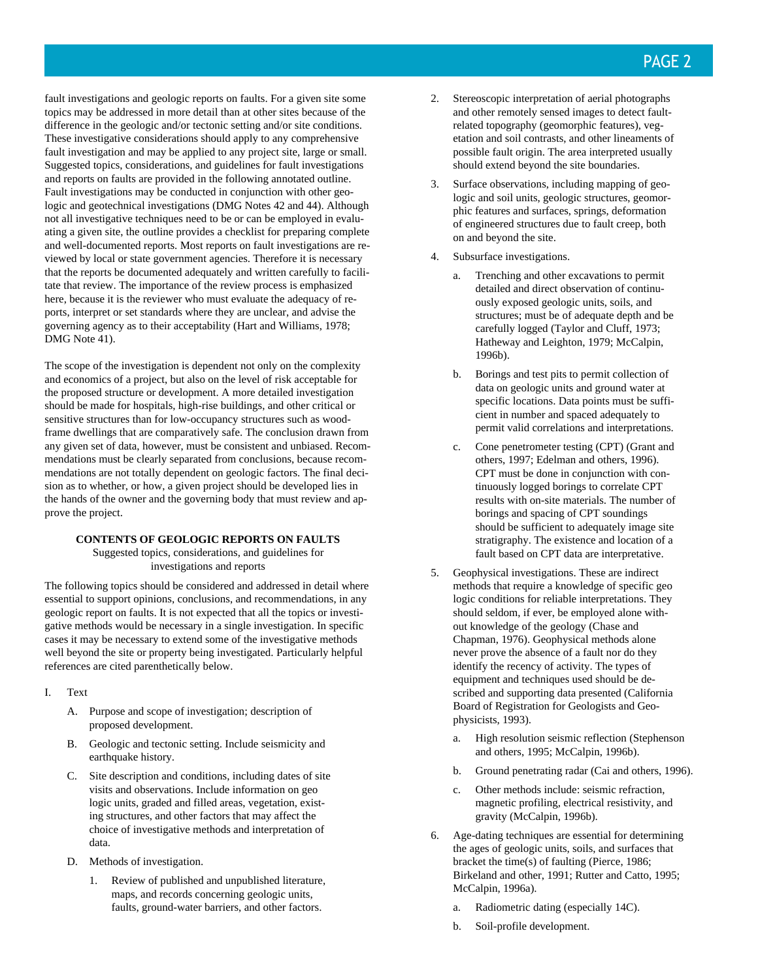fault investigations and geologic reports on faults. For a given site some topics may be addressed in more detail than at other sites because of the difference in the geologic and/or tectonic setting and/or site conditions. These investigative considerations should apply to any comprehensive fault investigation and may be applied to any project site, large or small. Suggested topics, considerations, and guidelines for fault investigations and reports on faults are provided in the following annotated outline. Fault investigations may be conducted in conjunction with other geologic and geotechnical investigations (DMG Notes 42 and 44). Although not all investigative techniques need to be or can be employed in evaluating a given site, the outline provides a checklist for preparing complete and well-documented reports. Most reports on fault investigations are reviewed by local or state government agencies. Therefore it is necessary that the reports be documented adequately and written carefully to facilitate that review. The importance of the review process is emphasized here, because it is the reviewer who must evaluate the adequacy of reports, interpret or set standards where they are unclear, and advise the governing agency as to their acceptability (Hart and Williams, 1978; DMG Note 41).

The scope of the investigation is dependent not only on the complexity and economics of a project, but also on the level of risk acceptable for the proposed structure or development. A more detailed investigation should be made for hospitals, high-rise buildings, and other critical or sensitive structures than for low-occupancy structures such as woodframe dwellings that are comparatively safe. The conclusion drawn from any given set of data, however, must be consistent and unbiased. Recommendations must be clearly separated from conclusions, because recommendations are not totally dependent on geologic factors. The final decision as to whether, or how, a given project should be developed lies in the hands of the owner and the governing body that must review and approve the project.

#### **CONTENTS OF GEOLOGIC REPORTS ON FAULTS**

Suggested topics, considerations, and guidelines for investigations and reports

The following topics should be considered and addressed in detail where essential to support opinions, conclusions, and recommendations, in any geologic report on faults. It is not expected that all the topics or investigative methods would be necessary in a single investigation. In specific cases it may be necessary to extend some of the investigative methods well beyond the site or property being investigated. Particularly helpful references are cited parenthetically below.

- I. Text
	- A. Purpose and scope of investigation; description of proposed development.
	- B. Geologic and tectonic setting. Include seismicity and earthquake history.
	- C. Site description and conditions, including dates of site visits and observations. Include information on geo logic units, graded and filled areas, vegetation, existing structures, and other factors that may affect the choice of investigative methods and interpretation of data.
	- D. Methods of investigation.
		- 1. Review of published and unpublished literature, maps, and records concerning geologic units, faults, ground-water barriers, and other factors.
- 2. Stereoscopic interpretation of aerial photographs and other remotely sensed images to detect faultrelated topography (geomorphic features), vegetation and soil contrasts, and other lineaments of possible fault origin. The area interpreted usually should extend beyond the site boundaries.
- 3. Surface observations, including mapping of geologic and soil units, geologic structures, geomorphic features and surfaces, springs, deformation of engineered structures due to fault creep, both on and beyond the site.
- 4. Subsurface investigations.
	- a. Trenching and other excavations to permit detailed and direct observation of continuously exposed geologic units, soils, and structures; must be of adequate depth and be carefully logged (Taylor and Cluff, 1973; Hatheway and Leighton, 1979; McCalpin, 1996b).
	- b. Borings and test pits to permit collection of data on geologic units and ground water at specific locations. Data points must be sufficient in number and spaced adequately to permit valid correlations and interpretations.
	- c. Cone penetrometer testing (CPT) (Grant and others, 1997; Edelman and others, 1996). CPT must be done in conjunction with continuously logged borings to correlate CPT results with on-site materials. The number of borings and spacing of CPT soundings should be sufficient to adequately image site stratigraphy. The existence and location of a fault based on CPT data are interpretative.
- 5. Geophysical investigations. These are indirect methods that require a knowledge of specific geo logic conditions for reliable interpretations. They should seldom, if ever, be employed alone without knowledge of the geology (Chase and Chapman, 1976). Geophysical methods alone never prove the absence of a fault nor do they identify the recency of activity. The types of equipment and techniques used should be described and supporting data presented (California Board of Registration for Geologists and Geophysicists, 1993).
	- a. High resolution seismic reflection (Stephenson and others, 1995; McCalpin, 1996b).
	- b. Ground penetrating radar (Cai and others, 1996).
	- c. Other methods include: seismic refraction, magnetic profiling, electrical resistivity, and gravity (McCalpin, 1996b).
- 6. Age-dating techniques are essential for determining the ages of geologic units, soils, and surfaces that bracket the time(s) of faulting (Pierce, 1986; Birkeland and other, 1991; Rutter and Catto, 1995; McCalpin, 1996a).
	- a. Radiometric dating (especially 14C).
	- b. Soil-profile development.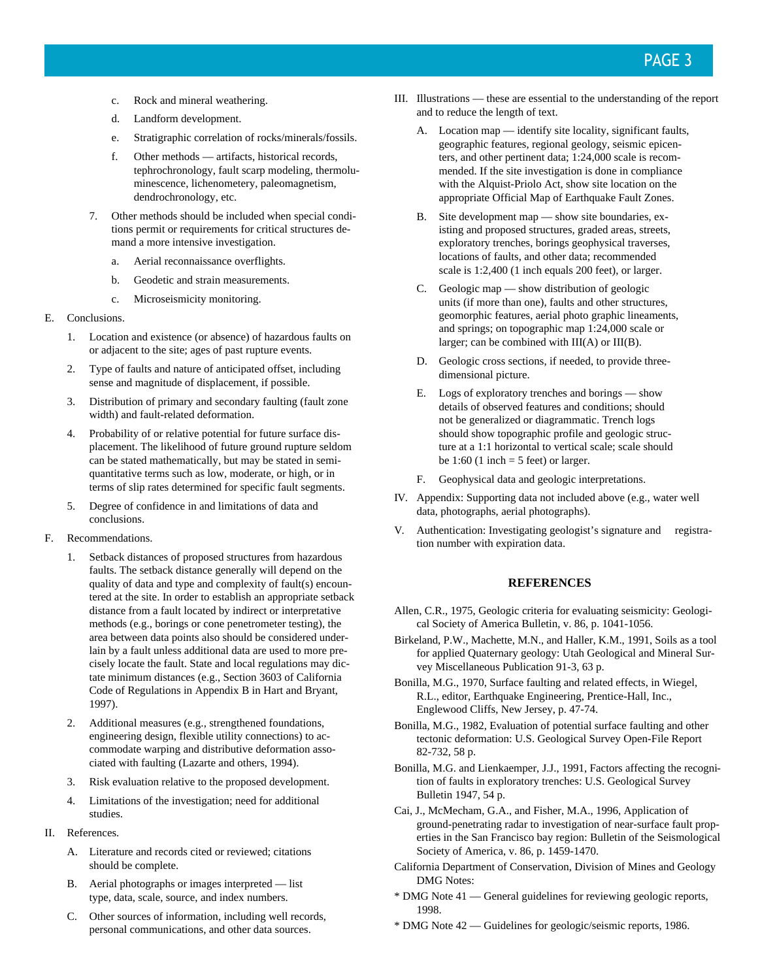- c. Rock and mineral weathering.
- d. Landform development.
- e. Stratigraphic correlation of rocks/minerals/fossils.
- f. Other methods artifacts, historical records, tephrochronology, fault scarp modeling, thermoluminescence, lichenometery, paleomagnetism, dendrochronology, etc.
- 7. Other methods should be included when special conditions permit or requirements for critical structures demand a more intensive investigation.
	- a. Aerial reconnaissance overflights.
	- b. Geodetic and strain measurements.
	- c. Microseismicity monitoring.
- E. Conclusions.
	- 1. Location and existence (or absence) of hazardous faults on or adjacent to the site; ages of past rupture events.
	- 2. Type of faults and nature of anticipated offset, including sense and magnitude of displacement, if possible.
	- 3. Distribution of primary and secondary faulting (fault zone width) and fault-related deformation.
	- 4. Probability of or relative potential for future surface displacement. The likelihood of future ground rupture seldom can be stated mathematically, but may be stated in semiquantitative terms such as low, moderate, or high, or in terms of slip rates determined for specific fault segments.
	- 5. Degree of confidence in and limitations of data and conclusions.
- F. Recommendations.
	- 1. Setback distances of proposed structures from hazardous faults. The setback distance generally will depend on the quality of data and type and complexity of fault(s) encountered at the site. In order to establish an appropriate setback distance from a fault located by indirect or interpretative methods (e.g., borings or cone penetrometer testing), the area between data points also should be considered underlain by a fault unless additional data are used to more precisely locate the fault. State and local regulations may dictate minimum distances (e.g., Section 3603 of California Code of Regulations in Appendix B in Hart and Bryant, 1997).
	- 2. Additional measures (e.g., strengthened foundations, engineering design, flexible utility connections) to accommodate warping and distributive deformation associated with faulting (Lazarte and others, 1994).
	- 3. Risk evaluation relative to the proposed development.
	- 4. Limitations of the investigation; need for additional studies.
- II. References.
	- A. Literature and records cited or reviewed; citations should be complete.
	- B. Aerial photographs or images interpreted list type, data, scale, source, and index numbers.
	- C. Other sources of information, including well records, personal communications, and other data sources.
- III. Illustrations these are essential to the understanding of the report and to reduce the length of text.
	- A. Location map identify site locality, significant faults, geographic features, regional geology, seismic epicenters, and other pertinent data; 1:24,000 scale is recommended. If the site investigation is done in compliance with the Alquist-Priolo Act, show site location on the appropriate Official Map of Earthquake Fault Zones.
	- B. Site development map show site boundaries, existing and proposed structures, graded areas, streets, exploratory trenches, borings geophysical traverses, locations of faults, and other data; recommended scale is 1:2,400 (1 inch equals 200 feet), or larger.
	- C. Geologic map show distribution of geologic units (if more than one), faults and other structures, geomorphic features, aerial photo graphic lineaments, and springs; on topographic map 1:24,000 scale or larger; can be combined with  $III(A)$  or  $III(B)$ .
	- D. Geologic cross sections, if needed, to provide threedimensional picture.
	- E. Logs of exploratory trenches and borings show details of observed features and conditions; should not be generalized or diagrammatic. Trench logs should show topographic profile and geologic structure at a 1:1 horizontal to vertical scale; scale should be 1:60 (1 inch  $=$  5 feet) or larger.
	- F. Geophysical data and geologic interpretations.
- IV. Appendix: Supporting data not included above (e.g., water well data, photographs, aerial photographs).
- V. Authentication: Investigating geologist's signature and registration number with expiration data.

#### **REFERENCES**

- Allen, C.R., 1975, Geologic criteria for evaluating seismicity: Geological Society of America Bulletin, v. 86, p. 1041-1056.
- Birkeland, P.W., Machette, M.N., and Haller, K.M., 1991, Soils as a tool for applied Quaternary geology: Utah Geological and Mineral Survey Miscellaneous Publication 91-3, 63 p.
- Bonilla, M.G., 1970, Surface faulting and related effects, in Wiegel, R.L., editor, Earthquake Engineering, Prentice-Hall, Inc., Englewood Cliffs, New Jersey, p. 47-74.
- Bonilla, M.G., 1982, Evaluation of potential surface faulting and other tectonic deformation: U.S. Geological Survey Open-File Report 82-732, 58 p.
- Bonilla, M.G. and Lienkaemper, J.J., 1991, Factors affecting the recognition of faults in exploratory trenches: U.S. Geological Survey Bulletin 1947, 54 p.
- Cai, J., McMecham, G.A., and Fisher, M.A., 1996, Application of ground-penetrating radar to investigation of near-surface fault properties in the San Francisco bay region: Bulletin of the Seismological Society of America, v. 86, p. 1459-1470.
- California Department of Conservation, Division of Mines and Geology DMG Notes:
- \* DMG Note 41 General guidelines for reviewing geologic reports, 1998.
- \* DMG Note 42 Guidelines for geologic/seismic reports, 1986.